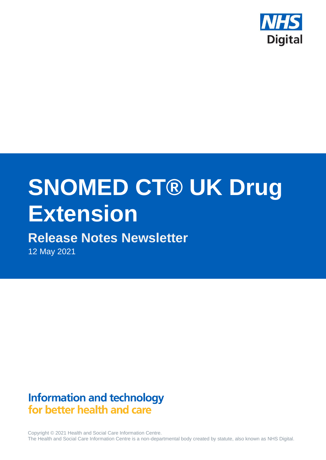

# **SNOMED CT® UK Drug Extension**

# **Release Notes Newsletter**

12 May 2021

# **Information and technology** for better health and care

Copyright © 2021 Health and Social Care Information Centre. The Health and Social Care Information Centre is a non-departmental body created by statute, also known as NHS Digital.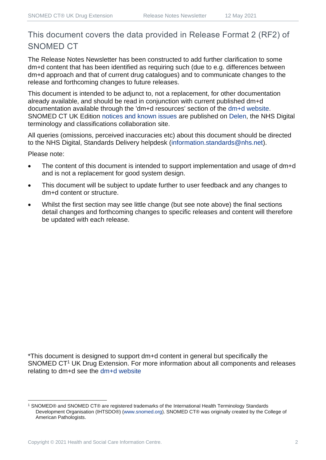## This document covers the data provided in Release Format 2 (RF2) of SNOMED CT

The Release Notes Newsletter has been constructed to add further clarification to some dm+d content that has been identified as requiring such (due to e.g. differences between dm+d approach and that of current drug catalogues) and to communicate changes to the release and forthcoming changes to future releases.

This document is intended to be adjunct to, not a replacement, for other documentation already available, and should be read in conjunction with current published dm+d documentation available through the 'dm+d resources' section of the [dm+d website.](https://www.nhsbsa.nhs.uk/pharmacies-gp-practices-and-appliance-contractors/dictionary-medicines-and-devices-dmd) SNOMED CT UK Edition [notices and known issues](https://hscic.kahootz.com/connect.ti/t_c_home/view?objectId=14224752) are published on [Delen,](https://hscic.kahootz.com/connect.ti/t_c_home) the NHS Digital terminology and classifications collaboration site.

All queries (omissions, perceived inaccuracies etc) about this document should be directed to the NHS Digital, Standards Delivery helpdesk [\(information.standards@nhs.net\)](mailto:information.standards@nhs.net).

Please note:

- The content of this document is intended to support implementation and usage of dm+d and is not a replacement for good system design.
- This document will be subject to update further to user feedback and any changes to dm+d content or structure.
- Whilst the first section may see little change (but see note above) the final sections detail changes and forthcoming changes to specific releases and content will therefore be updated with each release.

\*This document is designed to support dm+d content in general but specifically the SNOMED CT<sup>1</sup> UK Drug Extension. For more information about all components and releases relating to dm+d see the [dm+d website](https://www.nhsbsa.nhs.uk/pharmacies-gp-practices-and-appliance-contractors/dictionary-medicines-and-devices-dmd)

<sup>1</sup> SNOMED® and SNOMED CT® are registered trademarks of the International Health Terminology Standards Development Organisation (IHTSDO®) [\(www.snomed.org\)](http://www.snomed.org/). SNOMED CT® was originally created by the College of American Pathologists.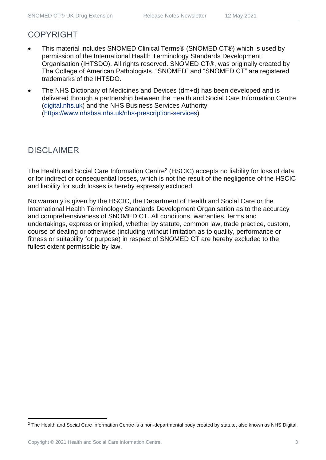## COPYRIGHT

- This material includes SNOMED Clinical Terms® (SNOMED CT®) which is used by permission of the International Health Terminology Standards Development Organisation (IHTSDO). All rights reserved. SNOMED CT®, was originally created by The College of American Pathologists. "SNOMED" and "SNOMED CT" are registered trademarks of the IHTSDO.
- The NHS Dictionary of Medicines and Devices (dm+d) has been developed and is delivered through a partnership between the Health and Social Care Information Centre [\(digital.nhs.uk\)](https://digital.nhs.uk/) and the NHS Business Services Authority [\(https://www.nhsbsa.nhs.uk/nhs-prescription-services\)](https://www.nhsbsa.nhs.uk/nhs-prescription-services)

## DISCLAIMER

The Health and Social Care Information Centre<sup>2</sup> (HSCIC) accepts no liability for loss of data or for indirect or consequential losses, which is not the result of the negligence of the HSCIC and liability for such losses is hereby expressly excluded.

No warranty is given by the HSCIC, the Department of Health and Social Care or the International Health Terminology Standards Development Organisation as to the accuracy and comprehensiveness of SNOMED CT. All conditions, warranties, terms and undertakings, express or implied, whether by statute, common law, trade practice, custom, course of dealing or otherwise (including without limitation as to quality, performance or fitness or suitability for purpose) in respect of SNOMED CT are hereby excluded to the fullest extent permissible by law.

<sup>&</sup>lt;sup>2</sup> The Health and Social Care Information Centre is a non-departmental body created by statute, also known as NHS Digital.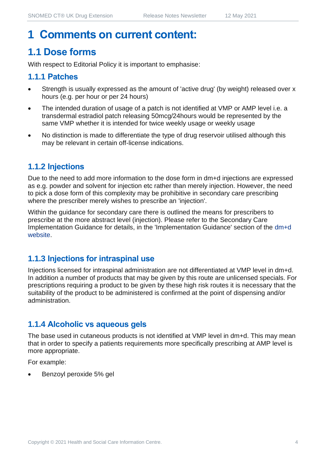## **1 Comments on current content:**

## **1.1 Dose forms**

With respect to Editorial Policy it is important to emphasise:

#### **1.1.1 Patches**

- Strength is usually expressed as the amount of 'active drug' (by weight) released over x hours (e.g. per hour or per 24 hours)
- The intended duration of usage of a patch is not identified at VMP or AMP level i.e. a transdermal estradiol patch releasing 50mcg/24hours would be represented by the same VMP whether it is intended for twice weekly usage or weekly usage
- No distinction is made to differentiate the type of drug reservoir utilised although this may be relevant in certain off-license indications.

#### **1.1.2 Injections**

Due to the need to add more information to the dose form in dm+d injections are expressed as e.g. powder and solvent for injection etc rather than merely injection. However, the need to pick a dose form of this complexity may be prohibitive in secondary care prescribing where the prescriber merely wishes to prescribe an 'injection'.

Within the guidance for secondary care there is outlined the means for prescribers to prescribe at the more abstract level (injection). Please refer to the Secondary Care Implementation Guidance for details, in the 'Implementation Guidance' section of the [dm+d](https://www.nhsbsa.nhs.uk/pharmacies-gp-practices-and-appliance-contractors/dictionary-medicines-and-devices-dmd)  [website.](https://www.nhsbsa.nhs.uk/pharmacies-gp-practices-and-appliance-contractors/dictionary-medicines-and-devices-dmd)

#### **1.1.3 Injections for intraspinal use**

Injections licensed for intraspinal administration are not differentiated at VMP level in dm+d. In addition a number of products that may be given by this route are unlicensed specials. For prescriptions requiring a product to be given by these high risk routes it is necessary that the suitability of the product to be administered is confirmed at the point of dispensing and/or administration.

#### **1.1.4 Alcoholic vs aqueous gels**

The base used in cutaneous products is not identified at VMP level in dm+d. This may mean that in order to specify a patients requirements more specifically prescribing at AMP level is more appropriate.

For example:

• Benzoyl peroxide 5% gel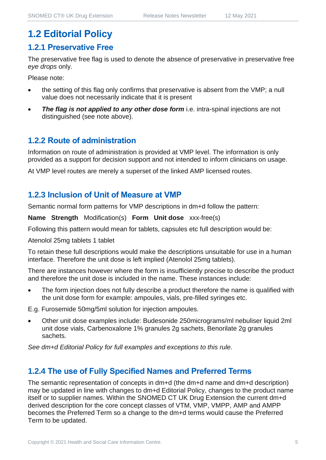## **1.2 Editorial Policy**

#### **1.2.1 Preservative Free**

The preservative free flag is used to denote the absence of preservative in preservative free *eye drops* only.

Please note:

- the setting of this flag only confirms that preservative is absent from the VMP; a null value does not necessarily indicate that it is present
- **The flag is not applied to any other dose form** i.e. intra-spinal injections are not distinguished (see note above).

#### **1.2.2 Route of administration**

Information on route of administration is provided at VMP level. The information is only provided as a support for decision support and not intended to inform clinicians on usage.

At VMP level routes are merely a superset of the linked AMP licensed routes.

#### **1.2.3 Inclusion of Unit of Measure at VMP**

Semantic normal form patterns for VMP descriptions in dm+d follow the pattern:

**Name Strength** Modification(s) **Form Unit dose** xxx-free(s)

Following this pattern would mean for tablets, capsules etc full description would be:

Atenolol 25mg tablets 1 tablet

To retain these full descriptions would make the descriptions unsuitable for use in a human interface. Therefore the unit dose is left implied (Atenolol 25mg tablets).

There are instances however where the form is insufficiently precise to describe the product and therefore the unit dose is included in the name. These instances include:

The form injection does not fully describe a product therefore the name is qualified with the unit dose form for example: ampoules, vials, pre-filled syringes etc.

E.g. Furosemide 50mg/5ml solution for injection ampoules.

• Other unit dose examples include: Budesonide 250micrograms/ml nebuliser liquid 2ml unit dose vials, Carbenoxalone 1% granules 2g sachets, Benorilate 2g granules sachets.

*See dm+d Editorial Policy for full examples and exceptions to this rule.*

#### **1.2.4 The use of Fully Specified Names and Preferred Terms**

The semantic representation of concepts in dm+d (the dm+d name and dm+d description) may be updated in line with changes to dm+d Editorial Policy, changes to the product name itself or to supplier names. Within the SNOMED CT UK Drug Extension the current dm+d derived description for the core concept classes of VTM, VMP, VMPP, AMP and AMPP becomes the Preferred Term so a change to the dm+d terms would cause the Preferred Term to be updated.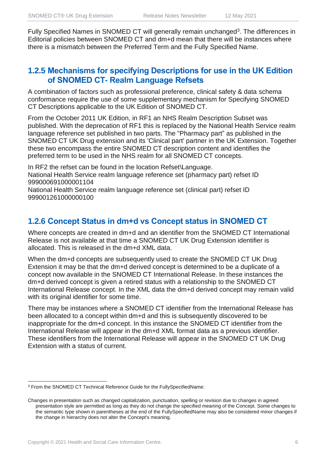Fully Specified Names in SNOMED CT will generally remain unchanged<sup>3</sup>. The differences in Editorial policies between SNOMED CT and dm+d mean that there will be instances where there is a mismatch between the Preferred Term and the Fully Specified Name.

#### **1.2.5 Mechanisms for specifying Descriptions for use in the UK Edition of SNOMED CT- Realm Language Refsets**

A combination of factors such as professional preference, clinical safety & data schema conformance require the use of some supplementary mechanism for Specifying SNOMED CT Descriptions applicable to the UK Edition of SNOMED CT.

From the October 2011 UK Edition, in RF1 an NHS Realm Description Subset was published. With the deprecation of RF1 this is replaced by the National Health Service realm language reference set published in two parts. The "Pharmacy part" as published in the SNOMED CT UK Drug extension and its 'Clinical part' partner in the UK Extension. Together these two encompass the entire SNOMED CT description content and identifies the preferred term to be used in the NHS realm for all SNOMED CT concepts.

In RF2 the refset can be found in the location Refset\Language. National Health Service realm language reference set (pharmacy part) refset ID 999000691000001104

National Health Service realm language reference set (clinical part) refset ID 999001261000000100

#### **1.2.6 Concept Status in dm+d vs Concept status in SNOMED CT**

Where concepts are created in dm+d and an identifier from the SNOMED CT International Release is not available at that time a SNOMED CT UK Drug Extension identifier is allocated. This is released in the dm+d XML data.

When the dm+d concepts are subsequently used to create the SNOMED CT UK Drug Extension it may be that the dm+d derived concept is determined to be a duplicate of a concept now available in the SNOMED CT International Release. In these instances the dm+d derived concept is given a retired status with a relationship to the SNOMED CT International Release concept. In the XML data the dm+d derived concept may remain valid with its original identifier for some time.

There may be instances where a SNOMED CT identifier from the International Release has been allocated to a concept within dm+d and this is subsequently discovered to be inappropriate for the dm+d concept. In this instance the SNOMED CT identifier from the International Release will appear in the dm+d XML format data as a previous identifier. These identifiers from the International Release will appear in the SNOMED CT UK Drug Extension with a status of current.

<sup>3</sup> From the SNOMED CT Technical Reference Guide for the FullySpecifiedName:

Changes in presentation such as changed capitalization, punctuation, spelling or revision due to changes in agreed presentation style are permitted as long as they do not change the specified meaning of the Concept. Some changes to the semantic type shown in parentheses at the end of the FullySpecifiedName may also be considered minor changes if the change in hierarchy does not alter the Concept's meaning.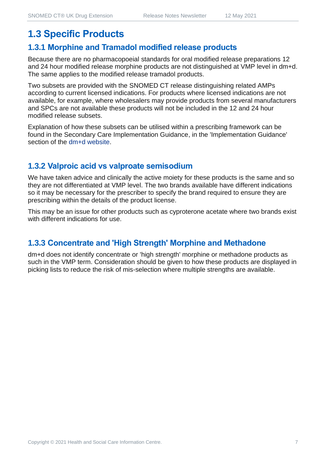## **1.3 Specific Products**

#### **1.3.1 Morphine and Tramadol modified release products**

Because there are no pharmacopoeial standards for oral modified release preparations 12 and 24 hour modified release morphine products are not distinguished at VMP level in dm+d. The same applies to the modified release tramadol products.

Two subsets are provided with the SNOMED CT release distinguishing related AMPs according to current licensed indications. For products where licensed indications are not available, for example, where wholesalers may provide products from several manufacturers and SPCs are not available these products will not be included in the 12 and 24 hour modified release subsets.

Explanation of how these subsets can be utilised within a prescribing framework can be found in the Secondary Care Implementation Guidance, in the 'Implementation Guidance' section of the [dm+d website.](https://www.nhsbsa.nhs.uk/pharmacies-gp-practices-and-appliance-contractors/dictionary-medicines-and-devices-dmd)

#### **1.3.2 Valproic acid vs valproate semisodium**

We have taken advice and clinically the active moiety for these products is the same and so they are not differentiated at VMP level. The two brands available have different indications so it may be necessary for the prescriber to specify the brand required to ensure they are prescribing within the details of the product license.

This may be an issue for other products such as cyproterone acetate where two brands exist with different indications for use.

#### **1.3.3 Concentrate and 'High Strength' Morphine and Methadone**

dm+d does not identify concentrate or 'high strength' morphine or methadone products as such in the VMP term. Consideration should be given to how these products are displayed in picking lists to reduce the risk of mis-selection where multiple strengths are available.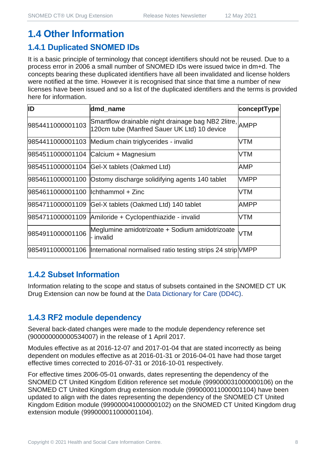## **1.4 Other Information**

#### **1.4.1 Duplicated SNOMED IDs**

It is a basic principle of terminology that concept identifiers should not be reused. Due to a process error in 2006 a small number of SNOMED IDs were issued twice in dm+d. The concepts bearing these duplicated identifiers have all been invalidated and license holders were notified at the time. However it is recognised that since that time a number of new licenses have been issued and so a list of the duplicated identifiers and the terms is provided here for information.

| ID                                   | dmd_name                                                                                               | conceptType |
|--------------------------------------|--------------------------------------------------------------------------------------------------------|-------------|
| 9854411000001103                     | Smartflow drainable night drainage bag NB2 2litre, AMPP<br>120cm tube (Manfred Sauer UK Ltd) 10 device |             |
|                                      | 9854411000001103 Medium chain triglycerides - invalid                                                  | VTM         |
|                                      | 9854511000001104 Calcium + Magnesium                                                                   | VTM         |
|                                      | 9854511000001104 Gel-X tablets (Oakmed Ltd)                                                            | AMP         |
|                                      | 9854611000001100 Ostomy discharge solidifying agents 140 tablet                                        | <b>VMPP</b> |
| 9854611000001100   Ichthammol + Zinc |                                                                                                        | VTM         |
|                                      | 9854711000001109 Gel-X tablets (Oakmed Ltd) 140 tablet                                                 | AMPP        |
|                                      | 9854711000001109 Amiloride + Cyclopenthiazide - invalid                                                | VTM         |
| 9854911000001106                     | Meglumine amidotrizoate + Sodium amidotrizoate<br>- invalid                                            | <b>VTM</b>  |
|                                      | 9854911000001106  International normalised ratio testing strips 24 strip NMPP                          |             |

#### **1.4.2 Subset Information**

Information relating to the scope and status of subsets contained in the SNOMED CT UK Drug Extension can now be found at the [Data Dictionary for Care \(DD4C\).](https://dd4c.digital.nhs.uk/dd4c/)

#### **1.4.3 RF2 module dependency**

Several back-dated changes were made to the module dependency reference set (900000000000534007) in the release of 1 April 2017.

Modules effective as at 2016-12-07 and 2017-01-04 that are stated incorrectly as being dependent on modules effective as at 2016-01-31 or 2016-04-01 have had those target effective times corrected to 2016-07-31 or 2016-10-01 respectively.

For effective times 2006-05-01 onwards, dates representing the dependency of the SNOMED CT United Kingdom Edition reference set module (999000031000000106) on the SNOMED CT United Kingdom drug extension module (999000011000001104) have been updated to align with the dates representing the dependency of the SNOMED CT United Kingdom Edition module (999000041000000102) on the SNOMED CT United Kingdom drug extension module (999000011000001104).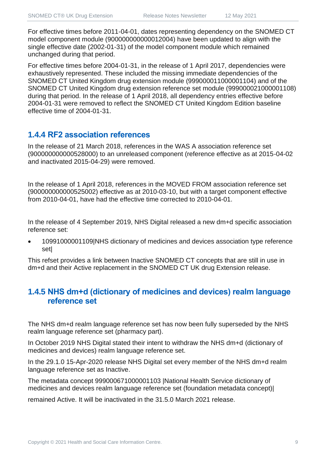For effective times before 2011-04-01, dates representing dependency on the SNOMED CT model component module (900000000000012004) have been updated to align with the single effective date (2002-01-31) of the model component module which remained unchanged during that period.

For effective times before 2004-01-31, in the release of 1 April 2017, dependencies were exhaustively represented. These included the missing immediate dependencies of the SNOMED CT United Kingdom drug extension module (999000011000001104) and of the SNOMED CT United Kingdom drug extension reference set module (999000021000001108) during that period. In the release of 1 April 2018, all dependency entries effective before 2004-01-31 were removed to reflect the SNOMED CT United Kingdom Edition baseline effective time of 2004-01-31.

#### **1.4.4 RF2 association references**

In the release of 21 March 2018, references in the WAS A association reference set (900000000000528000) to an unreleased component (reference effective as at 2015-04-02 and inactivated 2015-04-29) were removed.

In the release of 1 April 2018, references in the MOVED FROM association reference set (900000000000525002) effective as at 2010-03-10, but with a target component effective from 2010-04-01, have had the effective time corrected to 2010-04-01.

In the release of 4 September 2019, NHS Digital released a new dm+d specific association reference set:

• 10991000001109|NHS dictionary of medicines and devices association type reference set|

This refset provides a link between Inactive SNOMED CT concepts that are still in use in dm+d and their Active replacement in the SNOMED CT UK drug Extension release.

#### **1.4.5 NHS dm+d (dictionary of medicines and devices) realm language reference set**

The NHS dm+d realm language reference set has now been fully superseded by the NHS realm language reference set (pharmacy part).

In October 2019 NHS Digital stated their intent to withdraw the NHS dm+d (dictionary of medicines and devices) realm language reference set.

In the 29.1.0 15-Apr-2020 release NHS Digital set every member of the NHS dm+d realm language reference set as Inactive.

The metadata concept 999000671000001103 |National Health Service dictionary of medicines and devices realm language reference set (foundation metadata concept)|

remained Active. It will be inactivated in the 31.5.0 March 2021 release.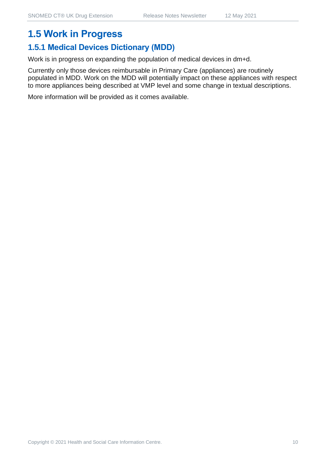## **1.5 Work in Progress**

## **1.5.1 Medical Devices Dictionary (MDD)**

Work is in progress on expanding the population of medical devices in dm+d.

Currently only those devices reimbursable in Primary Care (appliances) are routinely populated in MDD. Work on the MDD will potentially impact on these appliances with respect to more appliances being described at VMP level and some change in textual descriptions.

More information will be provided as it comes available.